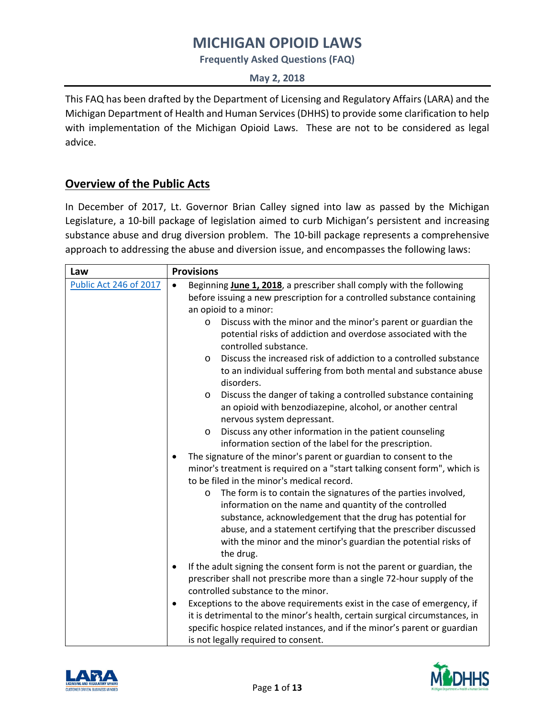**Frequently Asked Questions (FAQ)**

**May 2, 2018**

This FAQ has been drafted by the Department of Licensing and Regulatory Affairs (LARA) and the Michigan Department of Health and Human Services (DHHS) to provide some clarification to help with implementation of the Michigan Opioid Laws. These are not to be considered as legal advice.

## **Overview of the Public Acts**

In December of 2017, Lt. Governor Brian Calley signed into law as passed by the Michigan Legislature, a 10-bill package of legislation aimed to curb Michigan's persistent and increasing substance abuse and drug diversion problem. The 10-bill package represents a comprehensive approach to addressing the abuse and diversion issue, and encompasses the following laws:

| Law                    | <b>Provisions</b>                                                                                                                                                                                                                                                                                                                                   |
|------------------------|-----------------------------------------------------------------------------------------------------------------------------------------------------------------------------------------------------------------------------------------------------------------------------------------------------------------------------------------------------|
| Public Act 246 of 2017 | Beginning June 1, 2018, a prescriber shall comply with the following<br>$\bullet$<br>before issuing a new prescription for a controlled substance containing<br>an opioid to a minor:                                                                                                                                                               |
|                        | Discuss with the minor and the minor's parent or guardian the<br>O<br>potential risks of addiction and overdose associated with the<br>controlled substance.                                                                                                                                                                                        |
|                        | Discuss the increased risk of addiction to a controlled substance<br>$\circ$<br>to an individual suffering from both mental and substance abuse<br>disorders.                                                                                                                                                                                       |
|                        | Discuss the danger of taking a controlled substance containing<br>$\circ$<br>an opioid with benzodiazepine, alcohol, or another central<br>nervous system depressant.                                                                                                                                                                               |
|                        | Discuss any other information in the patient counseling<br>$\circ$<br>information section of the label for the prescription.                                                                                                                                                                                                                        |
|                        | The signature of the minor's parent or guardian to consent to the<br>$\bullet$<br>minor's treatment is required on a "start talking consent form", which is<br>to be filed in the minor's medical record.                                                                                                                                           |
|                        | The form is to contain the signatures of the parties involved,<br>$\circ$<br>information on the name and quantity of the controlled<br>substance, acknowledgement that the drug has potential for<br>abuse, and a statement certifying that the prescriber discussed<br>with the minor and the minor's guardian the potential risks of<br>the drug. |
|                        | If the adult signing the consent form is not the parent or guardian, the<br>٠<br>prescriber shall not prescribe more than a single 72-hour supply of the<br>controlled substance to the minor.                                                                                                                                                      |
|                        | Exceptions to the above requirements exist in the case of emergency, if<br>٠<br>it is detrimental to the minor's health, certain surgical circumstances, in<br>specific hospice related instances, and if the minor's parent or guardian<br>is not legally required to consent.                                                                     |



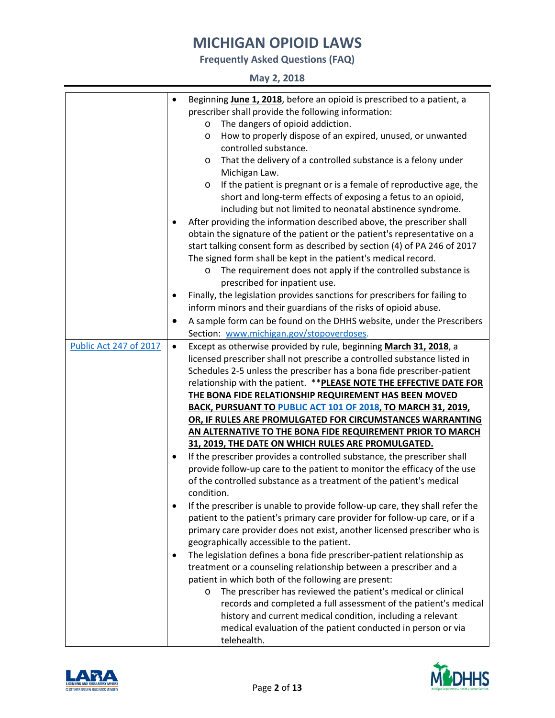**Frequently Asked Questions (FAQ)**

|  |  | May 2, 2018 |
|--|--|-------------|
|--|--|-------------|

| Beginning June 1, 2018, before an opioid is prescribed to a patient, a<br>prescriber shall provide the following information: |  |
|-------------------------------------------------------------------------------------------------------------------------------|--|
|                                                                                                                               |  |
| The dangers of opioid addiction.<br>O                                                                                         |  |
| How to properly dispose of an expired, unused, or unwanted<br>$\circ$                                                         |  |
| controlled substance.                                                                                                         |  |
| That the delivery of a controlled substance is a felony under                                                                 |  |
| O                                                                                                                             |  |
| Michigan Law.                                                                                                                 |  |
| If the patient is pregnant or is a female of reproductive age, the<br>$\circ$                                                 |  |
| short and long-term effects of exposing a fetus to an opioid,                                                                 |  |
| including but not limited to neonatal abstinence syndrome.                                                                    |  |
| After providing the information described above, the prescriber shall                                                         |  |
| obtain the signature of the patient or the patient's representative on a                                                      |  |
| start talking consent form as described by section (4) of PA 246 of 2017                                                      |  |
| The signed form shall be kept in the patient's medical record.                                                                |  |
| The requirement does not apply if the controlled substance is                                                                 |  |
| prescribed for inpatient use.                                                                                                 |  |
| Finally, the legislation provides sanctions for prescribers for failing to<br>٠                                               |  |
| inform minors and their guardians of the risks of opioid abuse.                                                               |  |
| A sample form can be found on the DHHS website, under the Prescribers                                                         |  |
| Section: www.michigan.gov/stopoverdoses.                                                                                      |  |
| Public Act 247 of 2017<br>Except as otherwise provided by rule, beginning March 31, 2018, a<br>$\bullet$                      |  |
| licensed prescriber shall not prescribe a controlled substance listed in                                                      |  |
| Schedules 2-5 unless the prescriber has a bona fide prescriber-patient                                                        |  |
| relationship with the patient. ** PLEASE NOTE THE EFFECTIVE DATE FOR                                                          |  |
| THE BONA FIDE RELATIONSHIP REQUIREMENT HAS BEEN MOVED                                                                         |  |
| BACK, PURSUANT TO PUBLIC ACT 101 OF 2018, TO MARCH 31, 2019,                                                                  |  |
| OR, IF RULES ARE PROMULGATED FOR CIRCUMSTANCES WARRANTING                                                                     |  |
| AN ALTERNATIVE TO THE BONA FIDE REQUIREMENT PRIOR TO MARCH                                                                    |  |
| 31, 2019, THE DATE ON WHICH RULES ARE PROMULGATED.                                                                            |  |
| If the prescriber provides a controlled substance, the prescriber shall                                                       |  |
| provide follow-up care to the patient to monitor the efficacy of the use                                                      |  |
| of the controlled substance as a treatment of the patient's medical                                                           |  |
| condition.                                                                                                                    |  |
| If the prescriber is unable to provide follow-up care, they shall refer the                                                   |  |
| patient to the patient's primary care provider for follow-up care, or if a                                                    |  |
| primary care provider does not exist, another licensed prescriber who is                                                      |  |
| geographically accessible to the patient.                                                                                     |  |
| The legislation defines a bona fide prescriber-patient relationship as<br>٠                                                   |  |
| treatment or a counseling relationship between a prescriber and a                                                             |  |
| patient in which both of the following are present:                                                                           |  |
| The prescriber has reviewed the patient's medical or clinical<br>O                                                            |  |
| records and completed a full assessment of the patient's medical                                                              |  |
| history and current medical condition, including a relevant                                                                   |  |
| medical evaluation of the patient conducted in person or via                                                                  |  |
| telehealth.                                                                                                                   |  |



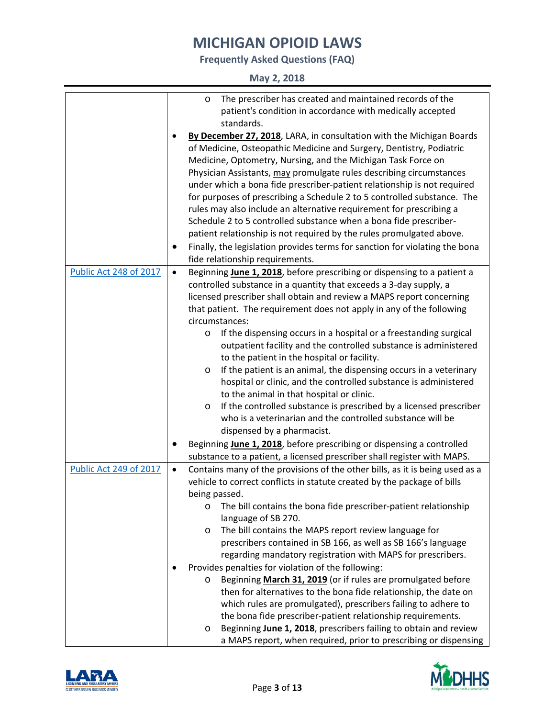**Frequently Asked Questions (FAQ)**

**May 2, 2018**

|           | The prescriber has created and maintained records of the<br>O                                                                                                                                                                                                                                                                                                                                                                                                                                                                                                                                                                                                                                                                                                                                                                                                                                                                                                  |
|-----------|----------------------------------------------------------------------------------------------------------------------------------------------------------------------------------------------------------------------------------------------------------------------------------------------------------------------------------------------------------------------------------------------------------------------------------------------------------------------------------------------------------------------------------------------------------------------------------------------------------------------------------------------------------------------------------------------------------------------------------------------------------------------------------------------------------------------------------------------------------------------------------------------------------------------------------------------------------------|
| $\bullet$ | patient's condition in accordance with medically accepted<br>standards.<br>By December 27, 2018, LARA, in consultation with the Michigan Boards<br>of Medicine, Osteopathic Medicine and Surgery, Dentistry, Podiatric<br>Medicine, Optometry, Nursing, and the Michigan Task Force on<br>Physician Assistants, may promulgate rules describing circumstances<br>under which a bona fide prescriber-patient relationship is not required<br>for purposes of prescribing a Schedule 2 to 5 controlled substance. The                                                                                                                                                                                                                                                                                                                                                                                                                                            |
|           | rules may also include an alternative requirement for prescribing a<br>Schedule 2 to 5 controlled substance when a bona fide prescriber-<br>patient relationship is not required by the rules promulgated above.                                                                                                                                                                                                                                                                                                                                                                                                                                                                                                                                                                                                                                                                                                                                               |
|           | Finally, the legislation provides terms for sanction for violating the bona<br>fide relationship requirements.                                                                                                                                                                                                                                                                                                                                                                                                                                                                                                                                                                                                                                                                                                                                                                                                                                                 |
| $\bullet$ | Beginning June 1, 2018, before prescribing or dispensing to a patient a<br>controlled substance in a quantity that exceeds a 3-day supply, a<br>licensed prescriber shall obtain and review a MAPS report concerning<br>that patient. The requirement does not apply in any of the following<br>circumstances:<br>If the dispensing occurs in a hospital or a freestanding surgical<br>$\circ$<br>outpatient facility and the controlled substance is administered<br>to the patient in the hospital or facility.<br>If the patient is an animal, the dispensing occurs in a veterinary<br>O<br>hospital or clinic, and the controlled substance is administered<br>to the animal in that hospital or clinic.<br>If the controlled substance is prescribed by a licensed prescriber<br>$\circ$<br>who is a veterinarian and the controlled substance will be<br>dispensed by a pharmacist.                                                                     |
|           | Beginning June 1, 2018, before prescribing or dispensing a controlled<br>substance to a patient, a licensed prescriber shall register with MAPS.                                                                                                                                                                                                                                                                                                                                                                                                                                                                                                                                                                                                                                                                                                                                                                                                               |
| $\bullet$ | Contains many of the provisions of the other bills, as it is being used as a<br>vehicle to correct conflicts in statute created by the package of bills<br>being passed.<br>The bill contains the bona fide prescriber-patient relationship<br>$\circ$<br>language of SB 270.<br>The bill contains the MAPS report review language for<br>O<br>prescribers contained in SB 166, as well as SB 166's language<br>regarding mandatory registration with MAPS for prescribers.<br>Provides penalties for violation of the following:<br>Beginning March 31, 2019 (or if rules are promulgated before<br>$\circ$<br>then for alternatives to the bona fide relationship, the date on<br>which rules are promulgated), prescribers failing to adhere to<br>the bona fide prescriber-patient relationship requirements.<br>Beginning June 1, 2018, prescribers failing to obtain and review<br>O<br>a MAPS report, when required, prior to prescribing or dispensing |
|           |                                                                                                                                                                                                                                                                                                                                                                                                                                                                                                                                                                                                                                                                                                                                                                                                                                                                                                                                                                |



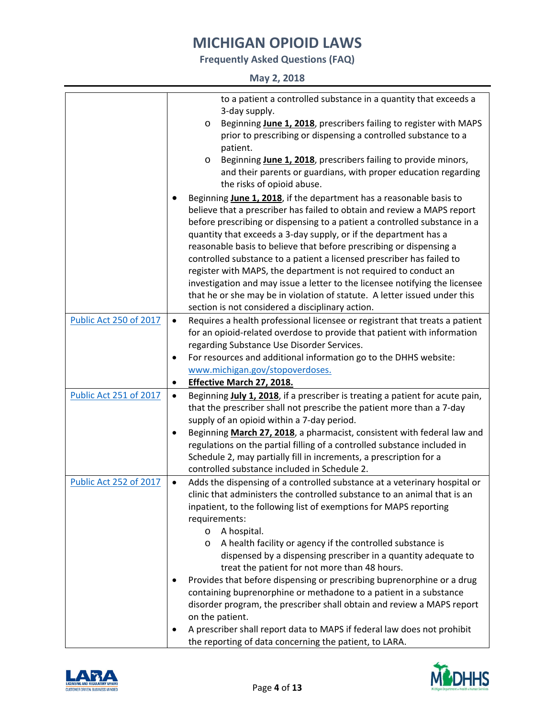**Frequently Asked Questions (FAQ)**

**May 2, 2018**

| <b>Public Act 250 of 2017</b> | to a patient a controlled substance in a quantity that exceeds a<br>3-day supply.<br>Beginning June 1, 2018, prescribers failing to register with MAPS<br>O<br>prior to prescribing or dispensing a controlled substance to a<br>patient.<br>Beginning June 1, 2018, prescribers failing to provide minors,<br>$\circ$<br>and their parents or guardians, with proper education regarding<br>the risks of opioid abuse.<br>Beginning June 1, 2018, if the department has a reasonable basis to<br>believe that a prescriber has failed to obtain and review a MAPS report<br>before prescribing or dispensing to a patient a controlled substance in a<br>quantity that exceeds a 3-day supply, or if the department has a<br>reasonable basis to believe that before prescribing or dispensing a<br>controlled substance to a patient a licensed prescriber has failed to<br>register with MAPS, the department is not required to conduct an<br>investigation and may issue a letter to the licensee notifying the licensee<br>that he or she may be in violation of statute. A letter issued under this<br>section is not considered a disciplinary action.<br>Requires a health professional licensee or registrant that treats a patient<br>$\bullet$<br>for an opioid-related overdose to provide that patient with information<br>regarding Substance Use Disorder Services.<br>For resources and additional information go to the DHHS website:<br>٠ |
|-------------------------------|--------------------------------------------------------------------------------------------------------------------------------------------------------------------------------------------------------------------------------------------------------------------------------------------------------------------------------------------------------------------------------------------------------------------------------------------------------------------------------------------------------------------------------------------------------------------------------------------------------------------------------------------------------------------------------------------------------------------------------------------------------------------------------------------------------------------------------------------------------------------------------------------------------------------------------------------------------------------------------------------------------------------------------------------------------------------------------------------------------------------------------------------------------------------------------------------------------------------------------------------------------------------------------------------------------------------------------------------------------------------------------------------------------------------------------------------------------------|
|                               | www.michigan.gov/stopoverdoses.                                                                                                                                                                                                                                                                                                                                                                                                                                                                                                                                                                                                                                                                                                                                                                                                                                                                                                                                                                                                                                                                                                                                                                                                                                                                                                                                                                                                                              |
|                               | <b>Effective March 27, 2018.</b>                                                                                                                                                                                                                                                                                                                                                                                                                                                                                                                                                                                                                                                                                                                                                                                                                                                                                                                                                                                                                                                                                                                                                                                                                                                                                                                                                                                                                             |
| Public Act 251 of 2017        | Beginning July 1, 2018, if a prescriber is treating a patient for acute pain,<br>$\bullet$<br>that the prescriber shall not prescribe the patient more than a 7-day<br>supply of an opioid within a 7-day period.<br>Beginning March 27, 2018, a pharmacist, consistent with federal law and<br>٠<br>regulations on the partial filling of a controlled substance included in<br>Schedule 2, may partially fill in increments, a prescription for a<br>controlled substance included in Schedule 2.                                                                                                                                                                                                                                                                                                                                                                                                                                                                                                                                                                                                                                                                                                                                                                                                                                                                                                                                                          |
| Public Act 252 of 2017        | Adds the dispensing of a controlled substance at a veterinary hospital or<br>$\bullet$<br>clinic that administers the controlled substance to an animal that is an<br>inpatient, to the following list of exemptions for MAPS reporting<br>requirements:<br>A hospital.<br>O<br>A health facility or agency if the controlled substance is<br>$\circ$<br>dispensed by a dispensing prescriber in a quantity adequate to<br>treat the patient for not more than 48 hours.<br>Provides that before dispensing or prescribing buprenorphine or a drug<br>٠<br>containing buprenorphine or methadone to a patient in a substance<br>disorder program, the prescriber shall obtain and review a MAPS report<br>on the patient.<br>A prescriber shall report data to MAPS if federal law does not prohibit<br>٠<br>the reporting of data concerning the patient, to LARA.                                                                                                                                                                                                                                                                                                                                                                                                                                                                                                                                                                                          |



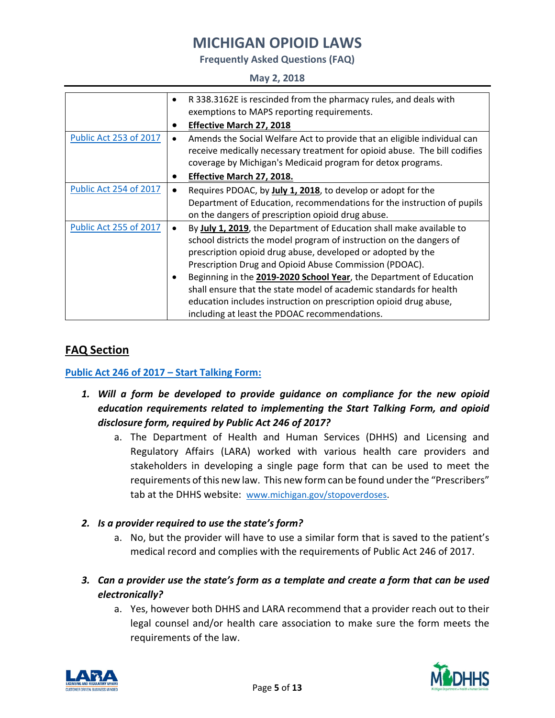**Frequently Asked Questions (FAQ)**

#### **May 2, 2018**

|                               | $\bullet$ | R 338.3162E is rescinded from the pharmacy rules, and deals with          |
|-------------------------------|-----------|---------------------------------------------------------------------------|
|                               |           | exemptions to MAPS reporting requirements.                                |
|                               |           | <b>Effective March 27, 2018</b>                                           |
| <b>Public Act 253 of 2017</b> | $\bullet$ | Amends the Social Welfare Act to provide that an eligible individual can  |
|                               |           | receive medically necessary treatment for opioid abuse. The bill codifies |
|                               |           | coverage by Michigan's Medicaid program for detox programs.               |
|                               |           | Effective March 27, 2018.                                                 |
| <b>Public Act 254 of 2017</b> | ٠         | Requires PDOAC, by July 1, 2018, to develop or adopt for the              |
|                               |           | Department of Education, recommendations for the instruction of pupils    |
|                               |           | on the dangers of prescription opioid drug abuse.                         |
| <b>Public Act 255 of 2017</b> | ٠         | By July 1, 2019, the Department of Education shall make available to      |
|                               |           | school districts the model program of instruction on the dangers of       |
|                               |           | prescription opioid drug abuse, developed or adopted by the               |
|                               |           | Prescription Drug and Opioid Abuse Commission (PDOAC).                    |
|                               | ٠         | Beginning in the 2019-2020 School Year, the Department of Education       |
|                               |           | shall ensure that the state model of academic standards for health        |
|                               |           | education includes instruction on prescription opioid drug abuse,         |
|                               |           | including at least the PDOAC recommendations.                             |

## **FAQ Section**

### **[Public Act 246 of 2017](http://www.legislature.mi.gov/documents/2017-2018/publicact/pdf/2017-PA-0246.pdf) – Start Talking Form:**

- *1. Will a form be developed to provide guidance on compliance for the new opioid education requirements related to implementing the Start Talking Form, and opioid disclosure form, required by Public Act 246 of 2017?*
	- a. The Department of Health and Human Services (DHHS) and Licensing and Regulatory Affairs (LARA) worked with various health care providers and stakeholders in developing a single page form that can be used to meet the requirements of this new law. This new form can be found under the "Prescribers" tab at the DHHS website: [www.michigan.gov/stopoverdoses.](http://www.michigan.gov/stopoverdoses)
- *2. Is a provider required to use the state's form?*
	- a. No, but the provider will have to use a similar form that is saved to the patient's medical record and complies with the requirements of Public Act 246 of 2017.
- *3. Can a provider use the state's form as a template and create a form that can be used electronically?* 
	- a. Yes, however both DHHS and LARA recommend that a provider reach out to their legal counsel and/or health care association to make sure the form meets the requirements of the law.



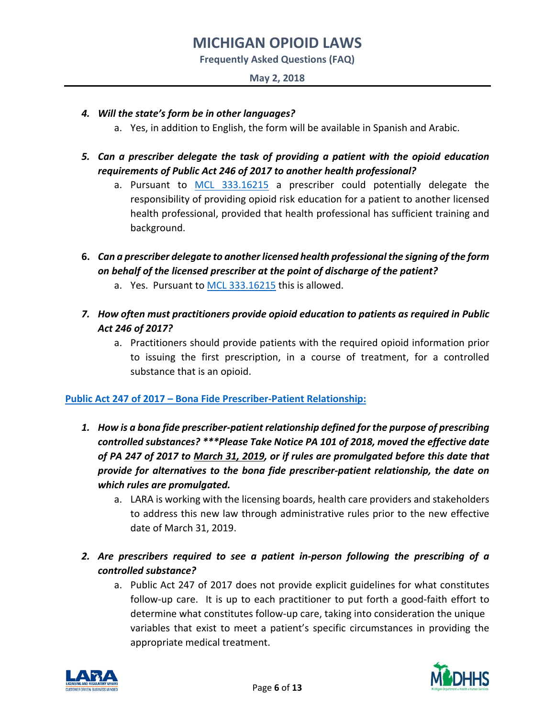**Frequently Asked Questions (FAQ)**

#### **May 2, 2018**

- *4. Will the state's form be in other languages?*
	- a. Yes, in addition to English, the form will be available in Spanish and Arabic.
- *5. Can a prescriber delegate the task of providing a patient with the opioid education requirements of Public Act 246 of 2017 to another health professional?*
	- a. Pursuant to [MCL 333.16215](http://www.legislature.mi.gov/(S(kv542z2xcc23sf1cmtfluydx))/mileg.aspx?page=getobject&objectName=mcl-333-16215) a prescriber could potentially delegate the responsibility of providing opioid risk education for a patient to another licensed health professional, provided that health professional has sufficient training and background.
- **6.** *Can a prescriber delegate to another licensed health professional the signing of the form on behalf of the licensed prescriber at the point of discharge of the patient?*
	- a. Yes. Pursuant to [MCL 333.16215](http://www.legislature.mi.gov/(S(kv542z2xcc23sf1cmtfluydx))/mileg.aspx?page=getobject&objectName=mcl-333-16215) this is allowed.
- *7. How often must practitioners provide opioid education to patients as required in Public Act 246 of 2017?*
	- a. Practitioners should provide patients with the required opioid information prior to issuing the first prescription, in a course of treatment, for a controlled substance that is an opioid.

### **[Public Act 247 of 2017](http://www.legislature.mi.gov/documents/2017-2018/publicact/pdf/2017-PA-0247.pdf) – Bona Fide Prescriber-Patient Relationship:**

- *1. How is a bona fide prescriber-patient relationship defined for the purpose of prescribing controlled substances? \*\*\*Please Take Notice PA 101 of 2018, moved the effective date of PA 247 of 2017 to March 31, 2019, or if rules are promulgated before this date that provide for alternatives to the bona fide prescriber-patient relationship, the date on which rules are promulgated.* 
	- a. LARA is working with the licensing boards, health care providers and stakeholders to address this new law through administrative rules prior to the new effective date of March 31, 2019.
- *2. Are prescribers required to see a patient in-person following the prescribing of a controlled substance?*
	- a. Public Act 247 of 2017 does not provide explicit guidelines for what constitutes follow-up care. It is up to each practitioner to put forth a good-faith effort to determine what constitutes follow-up care, taking into consideration the unique variables that exist to meet a patient's specific circumstances in providing the appropriate medical treatment.



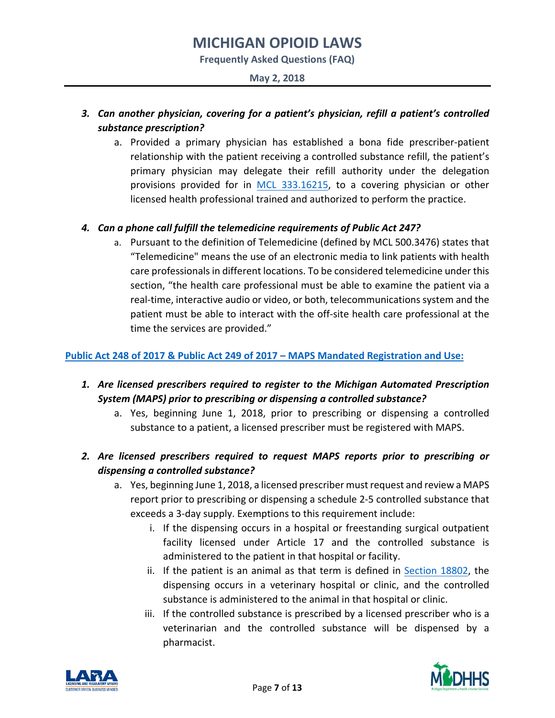**Frequently Asked Questions (FAQ)**

#### **May 2, 2018**

## *3. Can another physician, covering for a patient's physician, refill a patient's controlled substance prescription?*

a. Provided a primary physician has established a bona fide prescriber-patient relationship with the patient receiving a controlled substance refill, the patient's primary physician may delegate their refill authority under the delegation provisions provided for in [MCL 333.16215,](http://www.legislature.mi.gov/(S(iy2r4pglqxjsuyw3osxabhzf))/mileg.aspx?page=getobject&objectName=mcl-333-16215) to a covering physician or other licensed health professional trained and authorized to perform the practice.

### *4. Can a phone call fulfill the telemedicine requirements of Public Act 247?*

a. Pursuant to the definition of Telemedicine (defined by MCL 500.3476) states that "Telemedicine" means the use of an electronic media to link patients with health care professionals in different locations. To be considered telemedicine under this section, "the health care professional must be able to examine the patient via a real-time, interactive audio or video, or both, telecommunications system and the patient must be able to interact with the off-site health care professional at the time the services are provided."

### **[Public Act 248 of 2017](http://www.legislature.mi.gov/documents/2017-2018/publicact/pdf/2017-PA-0248.pdf) & [Public Act 249 of 2017](http://www.legislature.mi.gov/documents/2017-2018/publicact/pdf/2017-PA-0249.pdf) – MAPS Mandated Registration and Use:**

- *1. Are licensed prescribers required to register to the Michigan Automated Prescription System (MAPS) prior to prescribing or dispensing a controlled substance?* 
	- a. Yes, beginning June 1, 2018, prior to prescribing or dispensing a controlled substance to a patient, a licensed prescriber must be registered with MAPS.
- *2. Are licensed prescribers required to request MAPS reports prior to prescribing or dispensing a controlled substance?*
	- a. Yes, beginning June 1, 2018, a licensed prescriber mustrequest and review a MAPS report prior to prescribing or dispensing a schedule 2-5 controlled substance that exceeds a 3-day supply. Exemptions to this requirement include:
		- i. If the dispensing occurs in a hospital or freestanding surgical outpatient facility licensed under Article 17 and the controlled substance is administered to the patient in that hospital or facility.
		- ii. If the patient is an animal as that term is defined in [Section 18802,](http://www.legislature.mi.gov/(S(ltori1roudfqivt2le2r0yr1))/mileg.aspx?page=getobject&objectName=mcl-333-18802) the dispensing occurs in a veterinary hospital or clinic, and the controlled substance is administered to the animal in that hospital or clinic.
		- iii. If the controlled substance is prescribed by a licensed prescriber who is a veterinarian and the controlled substance will be dispensed by a pharmacist.



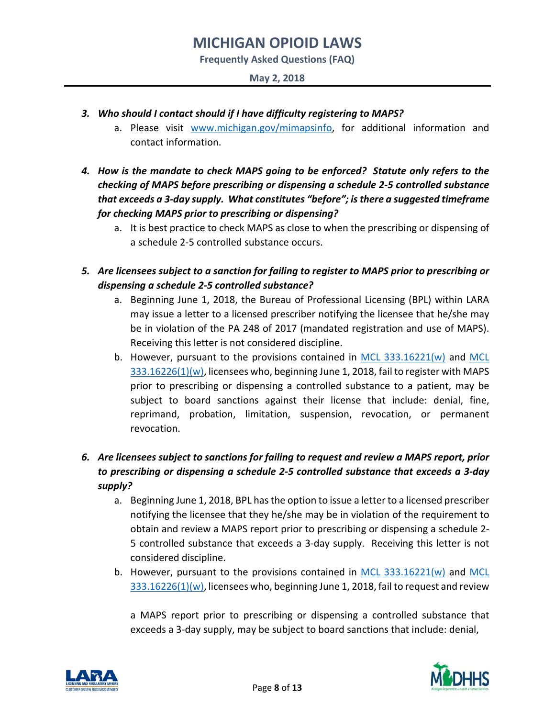**Frequently Asked Questions (FAQ)**

- *3. Who should I contact should if I have difficulty registering to MAPS?*
	- a. Please visit [www.michigan.gov/mimapsinfo,](http://www.michigan.gov/mimapsinfo) for additional information and contact information.
- *4. How is the mandate to check MAPS going to be enforced? Statute only refers to the checking of MAPS before prescribing or dispensing a schedule 2-5 controlled substance that exceeds a 3-day supply. What constitutes "before"; is there a suggested timeframe for checking MAPS prior to prescribing or dispensing?*
	- a. It is best practice to check MAPS as close to when the prescribing or dispensing of a schedule 2-5 controlled substance occurs.
- *5. Are licensees subject to a sanction for failing to register to MAPS prior to prescribing or dispensing a schedule 2-5 controlled substance?* 
	- a. Beginning June 1, 2018, the Bureau of Professional Licensing (BPL) within LARA may issue a letter to a licensed prescriber notifying the licensee that he/she may be in violation of the PA 248 of 2017 (mandated registration and use of MAPS). Receiving this letter is not considered discipline.
	- b. However, pursuant to the provisions contained in [MCL 333.16221\(w\)](http://www.legislature.mi.gov/(S(jgfzvcgmtrvfmlo0q4xit4fb))/mileg.aspx?page=GetObject&objectname=mcl-333-16221) and [MCL](http://www.legislature.mi.gov/(S(ojy52v2o32cjvgnohlvvowuc))/mileg.aspx?page=getObject&objectName=mcl-333-16226)  [333.16226\(1\)\(w\),](http://www.legislature.mi.gov/(S(ojy52v2o32cjvgnohlvvowuc))/mileg.aspx?page=getObject&objectName=mcl-333-16226) licensees who, beginning June 1, 2018, fail to register with MAPS prior to prescribing or dispensing a controlled substance to a patient, may be subject to board sanctions against their license that include: denial, fine, reprimand, probation, limitation, suspension, revocation, or permanent revocation.

## *6. Are licensees subject to sanctions for failing to request and review a MAPS report, prior to prescribing or dispensing a schedule 2-5 controlled substance that exceeds a 3-day supply?*

- a. Beginning June 1, 2018, BPL has the option to issue a letter to a licensed prescriber notifying the licensee that they he/she may be in violation of the requirement to obtain and review a MAPS report prior to prescribing or dispensing a schedule 2- 5 controlled substance that exceeds a 3-day supply. Receiving this letter is not considered discipline.
- b. However, pursuant to the provisions contained in [MCL 333.16221\(w\)](http://www.legislature.mi.gov/(S(fvqmahrb25mewlde3rrfazu1))/mileg.aspx?page=GetObject&objectname=mcl-333-16221) and [MCL](http://www.legislature.mi.gov/(S(53suox0qcrxujya0byhvu0dr))/mileg.aspx?page=getObject&objectName=mcl-333-16226)   $333.16226(1)(w)$ , licensees who, beginning June 1, 2018, fail to request and review

a MAPS report prior to prescribing or dispensing a controlled substance that exceeds a 3-day supply, may be subject to board sanctions that include: denial,



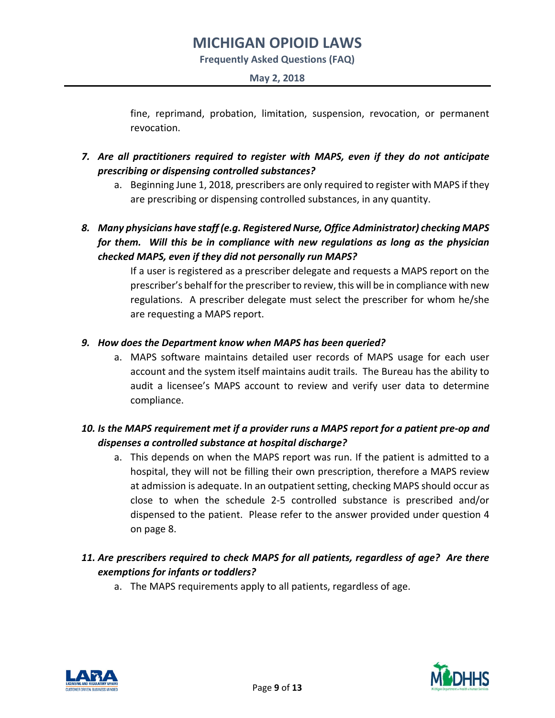**Frequently Asked Questions (FAQ)**

**May 2, 2018**

fine, reprimand, probation, limitation, suspension, revocation, or permanent revocation.

- *7. Are all practitioners required to register with MAPS, even if they do not anticipate prescribing or dispensing controlled substances?*
	- a. Beginning June 1, 2018, prescribers are only required to register with MAPS if they are prescribing or dispensing controlled substances, in any quantity.
- *8. Many physicians have staff (e.g. Registered Nurse, Office Administrator) checking MAPS for them. Will this be in compliance with new regulations as long as the physician checked MAPS, even if they did not personally run MAPS?*

If a user is registered as a prescriber delegate and requests a MAPS report on the prescriber's behalf for the prescriber to review, this will be in compliance with new regulations. A prescriber delegate must select the prescriber for whom he/she are requesting a MAPS report.

### *9. How does the Department know when MAPS has been queried?*

a. MAPS software maintains detailed user records of MAPS usage for each user account and the system itself maintains audit trails. The Bureau has the ability to audit a licensee's MAPS account to review and verify user data to determine compliance.

## *10. Is the MAPS requirement met if a provider runs a MAPS report for a patient pre-op and dispenses a controlled substance at hospital discharge?*

a. This depends on when the MAPS report was run. If the patient is admitted to a hospital, they will not be filling their own prescription, therefore a MAPS review at admission is adequate. In an outpatient setting, checking MAPS should occur as close to when the schedule 2-5 controlled substance is prescribed and/or dispensed to the patient. Please refer to the answer provided under question 4 on page 8.

## *11. Are prescribers required to check MAPS for all patients, regardless of age? Are there exemptions for infants or toddlers?*

a. The MAPS requirements apply to all patients, regardless of age.



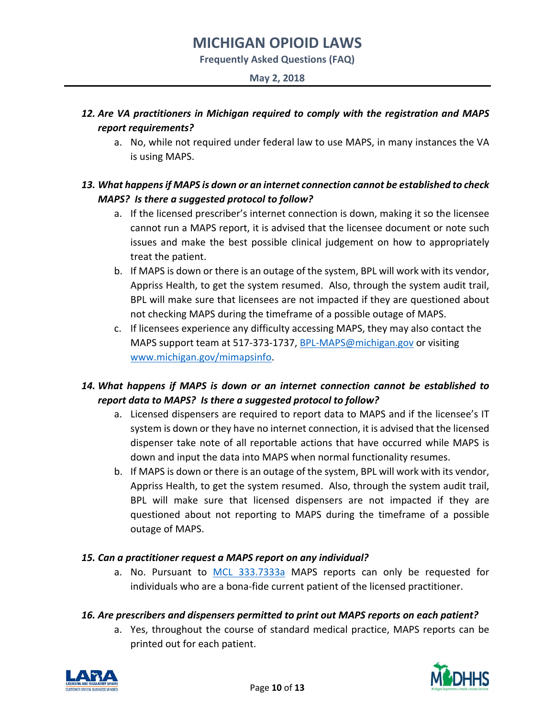**Frequently Asked Questions (FAQ)**

#### **May 2, 2018**

## *12. Are VA practitioners in Michigan required to comply with the registration and MAPS report requirements?*

a. No, while not required under federal law to use MAPS, in many instances the VA is using MAPS.

## *13. What happens if MAPS is down or an internet connection cannot be established to check MAPS? Is there a suggested protocol to follow?*

- a. If the licensed prescriber's internet connection is down, making it so the licensee cannot run a MAPS report, it is advised that the licensee document or note such issues and make the best possible clinical judgement on how to appropriately treat the patient.
- b. If MAPS is down or there is an outage of the system, BPL will work with its vendor, Appriss Health, to get the system resumed. Also, through the system audit trail, BPL will make sure that licensees are not impacted if they are questioned about not checking MAPS during the timeframe of a possible outage of MAPS.
- c. If licensees experience any difficulty accessing MAPS, they may also contact the MAPS support team at 517-373-1737, [BPL-MAPS@michigan.gov](mailto:BPL-MAPS@michigan.gov) or visiting [www.michigan.gov/mimapsinfo.](http://www.michigan.gov/mimapsinfo)

## *14. What happens if MAPS is down or an internet connection cannot be established to report data to MAPS? Is there a suggested protocol to follow?*

- a. Licensed dispensers are required to report data to MAPS and if the licensee's IT system is down or they have no internet connection, it is advised that the licensed dispenser take note of all reportable actions that have occurred while MAPS is down and input the data into MAPS when normal functionality resumes.
- b. If MAPS is down or there is an outage of the system, BPL will work with its vendor, Appriss Health, to get the system resumed. Also, through the system audit trail, BPL will make sure that licensed dispensers are not impacted if they are questioned about not reporting to MAPS during the timeframe of a possible outage of MAPS.

### *15. Can a practitioner request a MAPS report on any individual?*

a. No. Pursuant to [MCL 333.7333a](http://www.legislature.mi.gov/(S(jhtky34strhbqg0g355zbuvd))/mileg.aspx?page=GetObject&objectname=mcl-333-7333a) MAPS reports can only be requested for individuals who are a bona-fide current patient of the licensed practitioner.

### *16. Are prescribers and dispensers permitted to print out MAPS reports on each patient?*

a. Yes, throughout the course of standard medical practice, MAPS reports can be printed out for each patient.



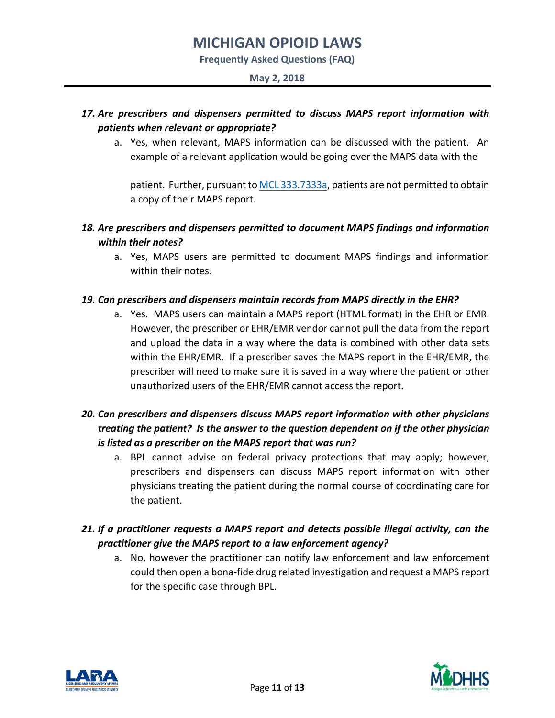**Frequently Asked Questions (FAQ)**

#### **May 2, 2018**

## *17. Are prescribers and dispensers permitted to discuss MAPS report information with patients when relevant or appropriate?*

a. Yes, when relevant, MAPS information can be discussed with the patient. An example of a relevant application would be going over the MAPS data with the

patient. Further, pursuant t[o MCL 333.7333a,](http://www.legislature.mi.gov/(S(jhtky34strhbqg0g355zbuvd))/mileg.aspx?page=GetObject&objectname=mcl-333-7333a) patients are not permitted to obtain a copy of their MAPS report.

## *18. Are prescribers and dispensers permitted to document MAPS findings and information within their notes?*

a. Yes, MAPS users are permitted to document MAPS findings and information within their notes.

### *19. Can prescribers and dispensers maintain records from MAPS directly in the EHR?*

a. Yes. MAPS users can maintain a MAPS report (HTML format) in the EHR or EMR. However, the prescriber or EHR/EMR vendor cannot pull the data from the report and upload the data in a way where the data is combined with other data sets within the EHR/EMR. If a prescriber saves the MAPS report in the EHR/EMR, the prescriber will need to make sure it is saved in a way where the patient or other unauthorized users of the EHR/EMR cannot access the report.

## *20. Can prescribers and dispensers discuss MAPS report information with other physicians treating the patient? Is the answer to the question dependent on if the other physician is listed as a prescriber on the MAPS report that was run?*

a. BPL cannot advise on federal privacy protections that may apply; however, prescribers and dispensers can discuss MAPS report information with other physicians treating the patient during the normal course of coordinating care for the patient.

## *21. If a practitioner requests a MAPS report and detects possible illegal activity, can the practitioner give the MAPS report to a law enforcement agency?*

a. No, however the practitioner can notify law enforcement and law enforcement could then open a bona-fide drug related investigation and request a MAPS report for the specific case through BPL.



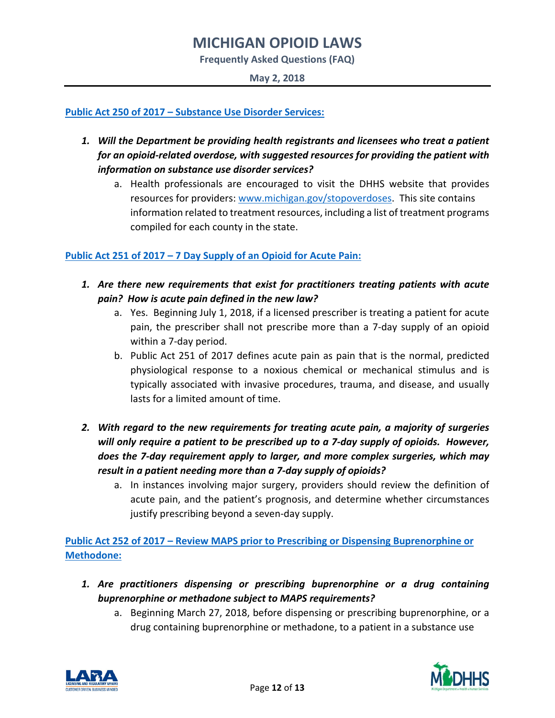**Frequently Asked Questions (FAQ)**

**May 2, 2018**

**[Public Act 250 of 2017](http://www.legislature.mi.gov/documents/2017-2018/publicact/pdf/2017-PA-0250.pdf) – Substance Use Disorder Services:**

- *1. Will the Department be providing health registrants and licensees who treat a patient for an opioid-related overdose, with suggested resources for providing the patient with information on substance use disorder services?*
	- a. Health professionals are encouraged to visit the DHHS website that provides resources for providers: [www.michigan.gov/stopoverdoses.](http://www.michigan.gov/stopoverdoses) This site contains information related to treatment resources, including a list of treatment programs compiled for each county in the state.

### **[Public Act 251 of 2017](http://www.legislature.mi.gov/documents/2017-2018/publicact/pdf/2017-PA-0251.pdf) – 7 Day Supply of an Opioid for Acute Pain:**

- *1. Are there new requirements that exist for practitioners treating patients with acute pain? How is acute pain defined in the new law?*
	- a. Yes. Beginning July 1, 2018, if a licensed prescriber is treating a patient for acute pain, the prescriber shall not prescribe more than a 7-day supply of an opioid within a 7-day period.
	- b. Public Act 251 of 2017 defines acute pain as pain that is the normal, predicted physiological response to a noxious chemical or mechanical stimulus and is typically associated with invasive procedures, trauma, and disease, and usually lasts for a limited amount of time.
- *2. With regard to the new requirements for treating acute pain, a majority of surgeries will only require a patient to be prescribed up to a 7-day supply of opioids. However, does the 7-day requirement apply to larger, and more complex surgeries, which may result in a patient needing more than a 7-day supply of opioids?*
	- a. In instances involving major surgery, providers should review the definition of acute pain, and the patient's prognosis, and determine whether circumstances justify prescribing beyond a seven-day supply.

**[Public Act 252 of 2017](http://www.legislature.mi.gov/documents/2017-2018/publicact/pdf/2017-PA-0252.pdf) – Review MAPS prior to Prescribing or Dispensing Buprenorphine or Methodone:**

- *1. Are practitioners dispensing or prescribing buprenorphine or a drug containing buprenorphine or methadone subject to MAPS requirements?*
	- a. Beginning March 27, 2018, before dispensing or prescribing buprenorphine, or a drug containing buprenorphine or methadone, to a patient in a substance use